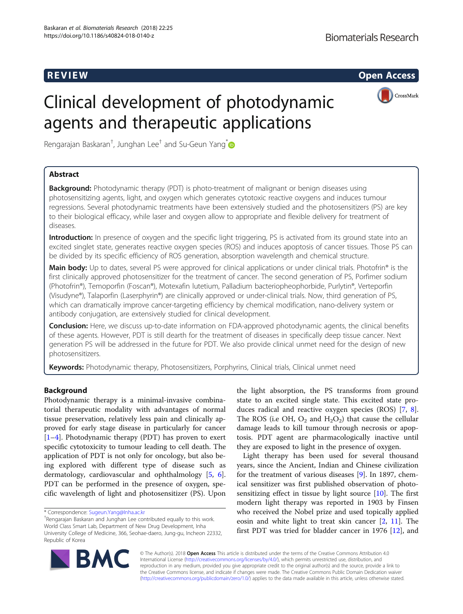R EVI EW Open Access



# Clinical development of photodynamic agents and therapeutic applications

Rengarajan Baskaran $^\dagger$ , Junghan Lee $^\dagger$  and Su-Geun Yang $\degree$ 

# Abstract

**Background:** Photodynamic therapy (PDT) is photo-treatment of malignant or benign diseases using photosensitizing agents, light, and oxygen which generates cytotoxic reactive oxygens and induces tumour regressions. Several photodynamic treatments have been extensively studied and the photosensitizers (PS) are key to their biological efficacy, while laser and oxygen allow to appropriate and flexible delivery for treatment of diseases.

Introduction: In presence of oxygen and the specific light triggering, PS is activated from its ground state into an excited singlet state, generates reactive oxygen species (ROS) and induces apoptosis of cancer tissues. Those PS can be divided by its specific efficiency of ROS generation, absorption wavelength and chemical structure.

Main body: Up to dates, several PS were approved for clinical applications or under clinical trials. Photofrin® is the first clinically approved photosensitizer for the treatment of cancer. The second generation of PS, Porfimer sodium (Photofrin®), Temoporfin (Foscan®), Motexafin lutetium, Palladium bacteriopheophorbide, Purlytin®, Verteporfin (Visudyne®), Talaporfin (Laserphyrin®) are clinically approved or under-clinical trials. Now, third generation of PS, which can dramatically improve cancer-targeting efficiency by chemical modification, nano-delivery system or antibody conjugation, are extensively studied for clinical development.

Conclusion: Here, we discuss up-to-date information on FDA-approved photodynamic agents, the clinical benefits of these agents. However, PDT is still dearth for the treatment of diseases in specifically deep tissue cancer. Next generation PS will be addressed in the future for PDT. We also provide clinical unmet need for the design of new photosensitizers.

Keywords: Photodynamic therapy, Photosensitizers, Porphyrins, Clinical trials, Clinical unmet need

# **Background**

Photodynamic therapy is a minimal-invasive combinatorial therapeutic modality with advantages of normal tissue preservation, relatively less pain and clinically approved for early stage disease in particularly for cancer [[1](#page-6-0)–[4\]](#page-6-0). Photodynamic therapy (PDT) has proven to exert specific cytotoxicity to tumour leading to cell death. The application of PDT is not only for oncology, but also being explored with different type of disease such as dermatology, cardiovascular and ophthalmology [\[5](#page-6-0), [6](#page-6-0)]. PDT can be performed in the presence of oxygen, specific wavelength of light and photosensitizer (PS). Upon

the light absorption, the PS transforms from ground state to an excited single state. This excited state produces radical and reactive oxygen species (ROS) [\[7,](#page-6-0) [8](#page-6-0)]. The ROS (i.e OH,  $O_2$  and  $H_2O_2$ ) that cause the cellular damage leads to kill tumour through necrosis or apoptosis. PDT agent are pharmacologically inactive until they are exposed to light in the presence of oxygen.

Light therapy has been used for several thousand years, since the Ancient, Indian and Chinese civilization for the treatment of various diseases [\[9](#page-6-0)]. In 1897, chemical sensitizer was first published observation of photosensitizing effect in tissue by light source [[10\]](#page-6-0). The first modern light therapy was reported in 1903 by Finsen who received the Nobel prize and used topically applied eosin and white light to treat skin cancer [\[2](#page-6-0), [11\]](#page-6-0). The first PDT was tried for bladder cancer in 1976 [[12\]](#page-6-0), and



© The Author(s). 2018 Open Access This article is distributed under the terms of the Creative Commons Attribution 4.0 International License [\(http://creativecommons.org/licenses/by/4.0/](http://creativecommons.org/licenses/by/4.0/)), which permits unrestricted use, distribution, and reproduction in any medium, provided you give appropriate credit to the original author(s) and the source, provide a link to the Creative Commons license, and indicate if changes were made. The Creative Commons Public Domain Dedication waiver [\(http://creativecommons.org/publicdomain/zero/1.0/](http://creativecommons.org/publicdomain/zero/1.0/)) applies to the data made available in this article, unless otherwise stated.

<sup>\*</sup> Correspondence: [Sugeun.Yang@Inha.ac.kr](mailto:Sugeun.Yang@Inha.ac.kr) †

Rengarajan Baskaran and Junghan Lee contributed equally to this work. World Class Smart Lab, Department of New Drug Development, Inha University College of Medicine, 366, Seohae-daero, Jung-gu, Incheon 22332, Republic of Korea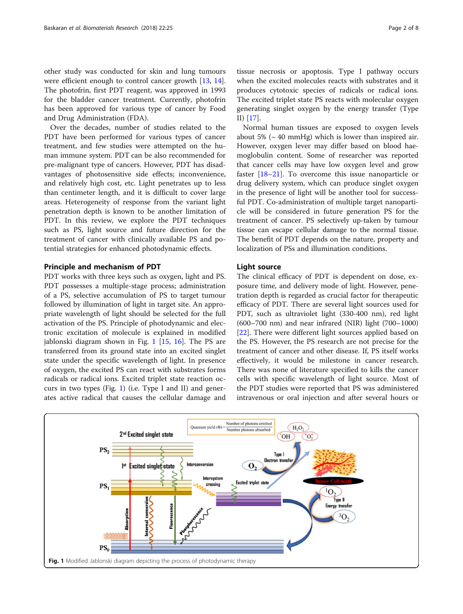other study was conducted for skin and lung tumours were efficient enough to control cancer growth [[13,](#page-6-0) [14](#page-6-0)]. The photofrin, first PDT reagent, was approved in 1993 for the bladder cancer treatment. Currently, photofrin has been approved for various type of cancer by Food and Drug Administration (FDA).

Over the decades, number of studies related to the PDT have been performed for various types of cancer treatment, and few studies were attempted on the human immune system. PDT can be also recommended for pre-malignant type of cancers. However, PDT has disadvantages of photosensitive side effects; inconvenience, and relatively high cost, etc. Light penetrates up to less than centimeter length, and it is difficult to cover large areas. Heterogeneity of response from the variant light penetration depth is known to be another limitation of PDT. In this review, we explore the PDT techniques such as PS, light source and future direction for the treatment of cancer with clinically available PS and potential strategies for enhanced photodynamic effects.

### Principle and mechanism of PDT

PDT works with three keys such as oxygen, light and PS. PDT possesses a multiple-stage process; administration of a PS, selective accumulation of PS to target tumour followed by illumination of light in target site. An appropriate wavelength of light should be selected for the full activation of the PS. Principle of photodynamic and electronic excitation of molecule is explained in modified jablonski diagram shown in Fig. 1 [[15,](#page-6-0) [16\]](#page-6-0). The PS are transferred from its ground state into an excited singlet state under the specific wavelength of light. In presence of oxygen, the excited PS can react with substrates forms radicals or radical ions. Excited triplet state reaction occurs in two types (Fig. 1) (i.e. Type I and II) and generates active radical that causes the cellular damage and

tissue necrosis or apoptosis. Type I pathway occurs when the excited molecules reacts with substrates and it produces cytotoxic species of radicals or radical ions. The excited triplet state PS reacts with molecular oxygen generating singlet oxygen by the energy transfer (Type II) [[17](#page-6-0)].

Normal human tissues are exposed to oxygen levels about 5% ( $\sim$  40 mmHg) which is lower than inspired air. However, oxygen lever may differ based on blood haemoglobulin content. Some of researcher was reported that cancer cells may have low oxygen level and grow faster [[18](#page-6-0)–[21](#page-6-0)]. To overcome this issue nanoparticle or drug delivery system, which can produce singlet oxygen in the presence of light will be another tool for successful PDT. Co-administration of multiple target nanoparticle will be considered in future generation PS for the treatment of cancer. PS selectively up-taken by tumour tissue can escape cellular damage to the normal tissue. The benefit of PDT depends on the nature, property and localization of PSs and illumination conditions.

# Light source

The clinical efficacy of PDT is dependent on dose, exposure time, and delivery mode of light. However, penetration depth is regarded as crucial factor for therapeutic efficacy of PDT. There are several light sources used for PDT, such as ultraviolet light (330-400 nm), red light (600–700 nm) and near infrared (NIR) light (700–1000) [[22\]](#page-6-0). There were different light sources applied based on the PS. However, the PS research are not precise for the treatment of cancer and other disease. If, PS itself works effectively, it would be milestone in cancer research. There was none of literature specified to kills the cancer cells with specific wavelength of light source. Most of the PDT studies were reported that PS was administered intravenous or oral injection and after several hours or

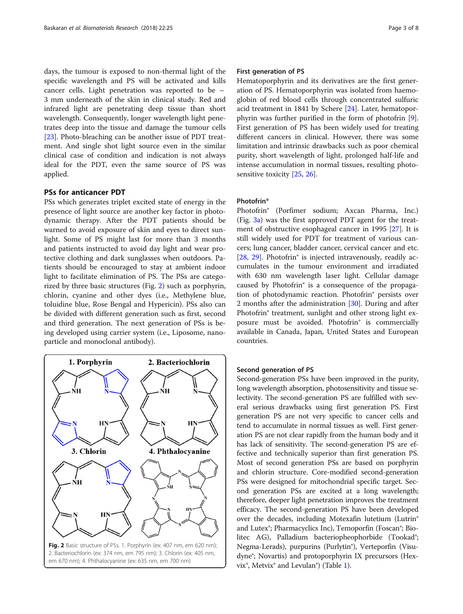days, the tumour is exposed to non-thermal light of the specific wavelength and PS will be activated and kills cancer cells. Light penetration was reported to be  $\sim$ 3 mm underneath of the skin in clinical study. Red and infrared light are penetrating deep tissue than short wavelength. Consequently, longer wavelength light penetrates deep into the tissue and damage the tumour cells [[23\]](#page-6-0). Photo-bleaching can be another issue of PDT treatment. And single shot light source even in the similar clinical case of condition and indication is not always ideal for the PDT, even the same source of PS was applied.

### PSs for anticancer PDT

PSs which generates triplet excited state of energy in the presence of light source are another key factor in photodynamic therapy. After the PDT patients should be warned to avoid exposure of skin and eyes to direct sunlight. Some of PS might last for more than 3 months and patients instructed to avoid day light and wear protective clothing and dark sunglasses when outdoors. Patients should be encouraged to stay at ambient indoor light to facilitate elimination of PS. The PSs are categorized by three basic structures (Fig. 2) such as porphyrin, chlorin, cyanine and other dyes (i.e., Methylene blue, toluidine blue, Rose Bengal and Hypericin). PSs also can be divided with different generation such as first, second and third generation. The next generation of PSs is being developed using carrier system (i.e., Liposome, nanoparticle and monoclonal antibody).



# First generation of PS

Hematoporphyrin and its derivatives are the first generation of PS. Hematoporphyrin was isolated from haemoglobin of red blood cells through concentrated sulfuric acid treatment in 1841 by Schere [[24\]](#page-6-0). Later, hematoporphyrin was further purified in the form of photofrin [\[9](#page-6-0)]. First generation of PS has been widely used for treating different cancers in clinical. However, there was some limitation and intrinsic drawbacks such as poor chemical purity, short wavelength of light, prolonged half-life and intense accumulation in normal tissues, resulting photo-sensitive toxicity [\[25](#page-6-0), [26](#page-6-0)].

# Photofrin®

Photofrin® (Porfimer sodium; Axcan Pharma, Inc.) (Fig. [3a](#page-3-0)) was the first approved PDT agent for the treatment of obstructive esophageal cancer in 1995 [\[27\]](#page-6-0). It is still widely used for PDT for treatment of various cancers; lung cancer, bladder cancer, cervical cancer and etc. [[28,](#page-6-0) [29\]](#page-6-0). Photofrin<sup>®</sup> is injected intravenously, readily accumulates in the tumour environment and irradiated with 630 nm wavelength laser light. Cellular damage caused by Photofrin® is a consequence of the propagation of photodynamic reaction. Photofrin® persists over 2 months after the administration [\[30](#page-6-0)]. During and after Photofrin® treatment, sunlight and other strong light exposure must be avoided. Photofrin® is commercially available in Canada, Japan, United States and European countries.

# Second generation of PS

Second-generation PSs have been improved in the purity, long wavelength absorption, photosensitivity and tissue selectivity. The second-generation PS are fulfilled with several serious drawbacks using first generation PS. First generation PS are not very specific to cancer cells and tend to accumulate in normal tissues as well. First generation PS are not clear rapidly from the human body and it has lack of sensitivity. The second-generation PS are effective and technically superior than first generation PS. Most of second generation PSs are based on porphyrin and chlorin structure. Core-modified second-generation PSs were designed for mitochondrial specific target. Second generation PSs are excited at a long wavelength; therefore, deeper light penetration improves the treatment efficacy. The second-generation PS have been developed over the decades, including Motexafin lutetium (Lutrin® and Lutex®; Pharmacyclics Inc), Temoporfin (Foscan®; Biolitec AG), Palladium bacteriopheophorbide (Tookad<sup>®</sup>; Negma-Lerads), purpurins (Purlytin®), Verteporfin (Visudyne®; Novartis) and protoporphyrin IX precursors (Hex-vix<sup>®</sup>, Metvix<sup>®</sup> and Levulan<sup>®</sup>) (Table [1\)](#page-4-0).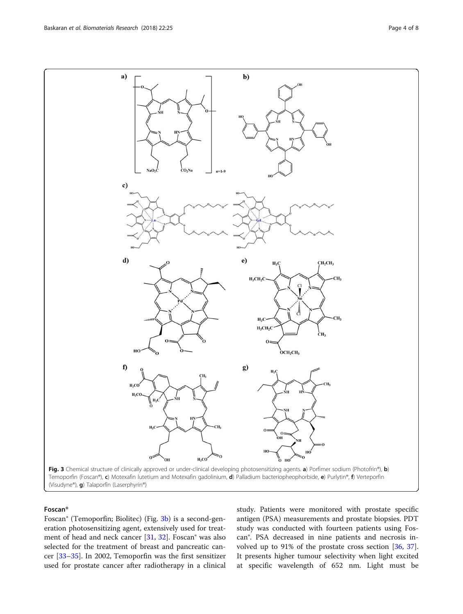<span id="page-3-0"></span>

# Foscan®

Foscan® (Temoporfin; Biolitec) (Fig. 3b) is a second-generation photosensitizing agent, extensively used for treat-ment of head and neck cancer [[31](#page-6-0), [32\]](#page-6-0). Foscan<sup>®</sup> was also selected for the treatment of breast and pancreatic cancer [[33](#page-7-0)–[35](#page-7-0)]. In 2002, Temoporfin was the first sensitizer used for prostate cancer after radiotherapy in a clinical study. Patients were monitored with prostate specific antigen (PSA) measurements and prostate biopsies. PDT study was conducted with fourteen patients using Foscan®. PSA decreased in nine patients and necrosis involved up to 91% of the prostate cross section [[36](#page-7-0), [37](#page-7-0)]. It presents higher tumour selectivity when light excited at specific wavelength of 652 nm. Light must be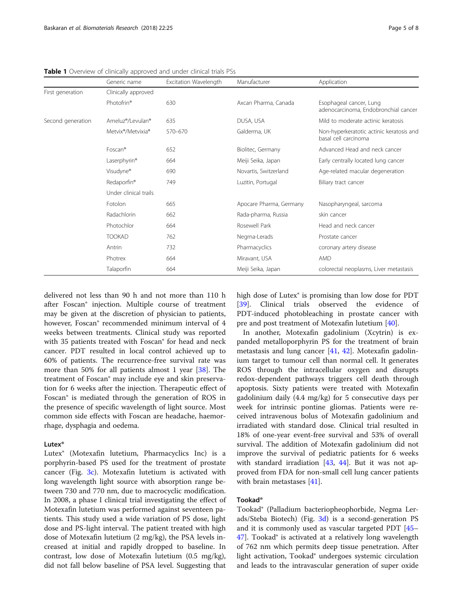|                   | Generic name                               | Excitation Wavelength | Manufacturer            | Application                                                      |
|-------------------|--------------------------------------------|-----------------------|-------------------------|------------------------------------------------------------------|
| First generation  | Clinically approved                        |                       |                         |                                                                  |
|                   | Photofrin <sup>®</sup>                     | 630                   | Axcan Pharma, Canada    | Esophageal cancer, Lung<br>adenocarcinoma, Endobronchial cancer  |
| Second generation | Ameluz®/Levulan®                           | 635                   | DUSA, USA               | Mild to moderate actinic keratosis                               |
|                   | Metvix <sup>®</sup> /Metvixia <sup>®</sup> | 570-670               | Galderma, UK            | Non-hyperkeratotic actinic keratosis and<br>basal cell carcinoma |
|                   | Foscan <sup>®</sup>                        | 652                   | Biolitec, Germany       | Advanced Head and neck cancer                                    |
|                   | Laserphyrin®                               | 664                   | Meiji Seika, Japan      | Early centrally located lung cancer                              |
|                   | Visudyne®                                  | 690                   | Novartis, Switzerland   | Age-related macular degeneration                                 |
|                   | Redaporfin <sup>®</sup>                    | 749                   | Luzitin, Portugal       | Biliary tract cancer                                             |
|                   | Under clinical trails                      |                       |                         |                                                                  |
|                   | Fotolon                                    | 665                   | Apocare Pharma, Germany | Nasopharyngeal, sarcoma                                          |
|                   | Radachlorin                                | 662                   | Rada-pharma, Russia     | skin cancer                                                      |
|                   | Photochlor                                 | 664                   | Rosewell Park           | Head and neck cancer                                             |
|                   | <b>TOOKAD</b>                              | 762                   | Negma-Lerads            | Prostate cancer                                                  |
|                   | Antrin                                     | 732                   | Pharmacyclics           | coronary artery disease                                          |
|                   | Photrex                                    | 664                   | Miravant, USA           | AMD                                                              |
|                   | Talaporfin                                 | 664                   | Meiji Seika, Japan      | colorectal neoplasms, Liver metastasis                           |

<span id="page-4-0"></span>Table 1 Overview of clinically approved and under clinical trials PSs

delivered not less than 90 h and not more than 110 h after Foscan® injection. Multiple course of treatment may be given at the discretion of physician to patients, however, Foscan® recommended minimum interval of 4 weeks between treatments. Clinical study was reported with 35 patients treated with Foscan® for head and neck cancer. PDT resulted in local control achieved up to 60% of patients. The recurrence-free survival rate was more than 50% for all patients almost 1 year [\[38\]](#page-7-0). The treatment of Foscan® may include eye and skin preservation for 6 weeks after the injection. Therapeutic effect of Foscan® is mediated through the generation of ROS in the presence of specific wavelength of light source. Most common side effects with Foscan are headache, haemorrhage, dysphagia and oedema.

# Lutex®

Lutex® (Motexafin lutetium, Pharmacyclics Inc) is a porphyrin-based PS used for the treatment of prostate cancer (Fig. [3c](#page-3-0)). Motexafin lutetium is activated with long wavelength light source with absorption range between 730 and 770 nm, due to macrocyclic modification. In 2008, a phase I clinical trial investigating the effect of Motexafin lutetium was performed against seventeen patients. This study used a wide variation of PS dose, light dose and PS-light interval. The patient treated with high dose of Motexafin lutetium (2 mg/kg), the PSA levels increased at initial and rapidly dropped to baseline. In contrast, low dose of Motexafin lutetium (0.5 mg/kg), did not fall below baseline of PSA level. Suggesting that high dose of Lutex<sup>®</sup> is promising than low dose for PDT [[39\]](#page-7-0). Clinical trials observed the evidence PDT-induced photobleaching in prostate cancer with pre and post treatment of Motexafin lutetium [[40](#page-7-0)].

In another, Motexafin gadolinium (Xcytrin) is expanded metalloporphyrin PS for the treatment of brain metastasis and lung cancer [[41](#page-7-0), [42](#page-7-0)]. Motexafin gadolinium target to tumour cell than normal cell. It generates ROS through the intracellular oxygen and disrupts redox-dependent pathways triggers cell death through apoptosis. Sixty patients were treated with Motexafin gadolinium daily (4.4 mg/kg) for 5 consecutive days per week for intrinsic pontine gliomas. Patients were received intravenous bolus of Motexafin gadolinium and irradiated with standard dose. Clinical trial resulted in 18% of one-year event-free survival and 53% of overall survival. The addition of Motexafin gadolinium did not improve the survival of pediatric patients for 6 weeks with standard irradiation  $[43, 44]$  $[43, 44]$  $[43, 44]$  $[43, 44]$ . But it was not approved from FDA for non-small cell lung cancer patients with brain metastases [\[41](#page-7-0)].

# Tookad®

Tookad® (Palladium bacteriopheophorbide, Negma Lerads/Steba Biotech) (Fig.  $3d$ ) is a second-generation PS and it is commonly used as vascular targeted PDT [[45](#page-7-0)– [47\]](#page-7-0). Tookad<sup>®</sup> is activated at a relatively long wavelength of 762 nm which permits deep tissue penetration. After light activation, Tookad<sup>®</sup> undergoes systemic circulation and leads to the intravascular generation of super oxide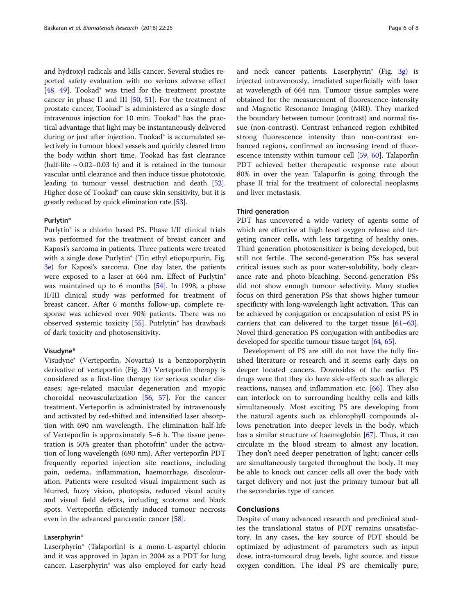and hydroxyl radicals and kills cancer. Several studies reported safety evaluation with no serious adverse effect [[48,](#page-7-0) [49](#page-7-0)]. Tookad<sup>®</sup> was tried for the treatment prostate cancer in phase II and III [[50,](#page-7-0) [51](#page-7-0)]. For the treatment of prostate cancer, Tookad® is administered as a single dose intravenous injection for 10 min. Tookad® has the practical advantage that light may be instantaneously delivered during or just after injection. Tookad<sup>®</sup> is accumulated selectively in tumour blood vessels and quickly cleared from the body within short time. Tookad has fast clearance (half-life  $\sim$  0.02–0.03 h) and it is retained in the tumour vascular until clearance and then induce tissue phototoxic, leading to tumour vessel destruction and death [[52](#page-7-0)]. Higher dose of Tookad® can cause skin sensitivity, but it is greatly reduced by quick elimination rate [\[53\]](#page-7-0).

#### Purlytin®

Purlytin® is a chlorin based PS. Phase I/II clinical trials was performed for the treatment of breast cancer and Kaposi's sarcoma in patients. Three patients were treated with a single dose Purlytin® (Tin ethyl etiopurpurin, Fig. [3e\)](#page-3-0) for Kaposi's sarcoma. One day later, the patients were exposed to a laser at 664 nm. Effect of Purlytin® was maintained up to 6 months [[54](#page-7-0)]. In 1998, a phase II/III clinical study was performed for treatment of breast cancer. After 6 months follow-up, complete response was achieved over 90% patients. There was no observed systemic toxicity [[55](#page-7-0)]. Putrlytin® has drawback of dark toxicity and photosensitivity.

### Visudyne®

Visudyne® (Verteporfin, Novartis) is a benzoporphyrin derivative of verteporfin (Fig. [3f](#page-3-0)) Verteporfin therapy is considered as a first-line therapy for serious ocular diseases; age-related macular degeneration and myopic choroidal neovascularization [[56,](#page-7-0) [57\]](#page-7-0). For the cancer treatment, Verteporfin is administrated by intravenously and activated by red-shifted and intensified laser absorption with 690 nm wavelength. The elimination half-life of Verteporfin is approximately 5–6 h. The tissue penetration is 50% greater than photofrin® under the activation of long wavelength (690 nm). After verteporfin PDT frequently reported injection site reactions, including pain, oedema, inflammation, haemorrhage, discolouration. Patients were resulted visual impairment such as blurred, fuzzy vision, photopsia, reduced visual acuity and visual field defects, including scotoma and black spots. Verteporfin efficiently induced tumour necrosis even in the advanced pancreatic cancer [[58\]](#page-7-0).

# Laserphyrin®

Laserphyrin® (Talaporfin) is a mono-L-aspartyl chlorin and it was approved in Japan in 2004 as a PDT for lung cancer. Laserphyrin® was also employed for early head and neck cancer patients. Laserphyrin® (Fig. [3g\)](#page-3-0) is injected intravenously, irradiated superficially with laser at wavelength of 664 nm. Tumour tissue samples were obtained for the measurement of fluorescence intensity and Magnetic Resonance Imaging (MRI). They marked the boundary between tumour (contrast) and normal tissue (non-contrast). Contrast enhanced region exhibited strong fluorescence intensity than non-contrast enhanced regions, confirmed an increasing trend of fluorescence intensity within tumour cell [\[59](#page-7-0), [60\]](#page-7-0). Talaporfin PDT achieved better therapeutic response rate about 80% in over the year. Talaporfin is going through the phase II trial for the treatment of colorectal neoplasms and liver metastasis.

# Third generation

PDT has uncovered a wide variety of agents some of which are effective at high level oxygen release and targeting cancer cells, with less targeting of healthy ones. Third generation photosensitizer is being developed, but still not fertile. The second-generation PSs has several critical issues such as poor water-solubility, body clearance rate and photo-bleaching. Second-generation PSs did not show enough tumour selectivity. Many studies focus on third generation PSs that shows higher tumour specificity with long-wavelength light activation. This can be achieved by conjugation or encapsulation of exist PS in carriers that can delivered to the target tissue [\[61](#page-7-0)–[63](#page-7-0)]. Novel third-generation PS conjugation with antibodies are developed for specific tumour tissue target [[64](#page-7-0), [65\]](#page-7-0).

Development of PS are still do not have the fully finished literature or research and it seems early days on deeper located cancers. Downsides of the earlier PS drugs were that they do have side-effects such as allergic reactions, nausea and inflammation etc. [[66\]](#page-7-0). They also can interlock on to surrounding healthy cells and kills simultaneously. Most exciting PS are developing from the natural agents such as chlorophyll compounds allows penetration into deeper levels in the body, which has a similar structure of haemoglobin [[67\]](#page-7-0). Thus, it can circulate in the blood stream to almost any location. They don't need deeper penetration of light; cancer cells are simultaneously targeted throughout the body. It may be able to knock out cancer cells all over the body with target delivery and not just the primary tumour but all the secondaries type of cancer.

### Conclusions

Despite of many advanced research and preclinical studies the translational status of PDT remains unsatisfactory. In any cases, the key source of PDT should be optimized by adjustment of parameters such as input dose, intra-tumoural drug levels, light source, and tissue oxygen condition. The ideal PS are chemically pure,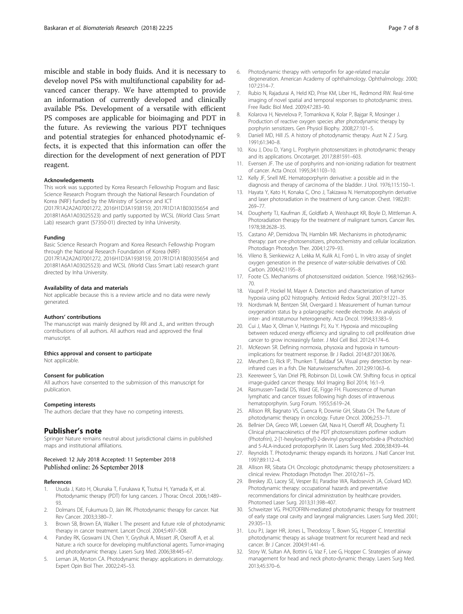<span id="page-6-0"></span>miscible and stable in body fluids. And it is necessary to develop novel PSs with multifunctional capability for advanced cancer therapy. We have attempted to provide an information of currently developed and clinically available PSs. Development of a versatile with efficient PS composes are applicable for bioimaging and PDT in the future. As reviewing the various PDT techniques and potential strategies for enhanced photodynamic effects, it is expected that this information can offer the direction for the development of next generation of PDT reagent.

#### Acknowledgements

This work was supported by Korea Research Fellowship Program and Basic Science Research Program through the National Research Foundation of Korea (NRF) funded by the Ministry of Science and ICT (2017R1A2A2A07001272, 2016H1D3A1938159, 2017R1D1A1B03035654 and 2018R1A6A1A03025523) and partly supported by WCSL (World Class Smart Lab) research grant (57350-01) directed by Inha University.

#### Funding

Basic Science Research Program and Korea Research Fellowship Program through the National Research Foundation of Korea (NRF) (2017R1A2A2A07001272, 2016H1D3A1938159, 2017R1D1A1B03035654 and 2018R1A6A1A03025523) and WCSL (World Class Smart Lab) research grant directed by Inha University.

#### Availability of data and materials

Not applicable because this is a review article and no data were newly generated.

#### Authors' contributions

The manuscript was mainly designed by RR and JL, and written through contributions of all authors. All authors read and approved the final manuscript.

#### Ethics approval and consent to participate

Not applicable.

#### Consent for publication

All authors have consented to the submission of this manuscript for publication.

#### Competing interests

The authors declare that they have no competing interests.

#### Publisher's note

Springer Nature remains neutral about jurisdictional claims in published maps and institutional affiliations.

### Received: 12 July 2018 Accepted: 11 September 2018 Published online: 26 September 2018

#### References

- 1. Usuda J, Kato H, Okunaka T, Furukawa K, Tsutsui H, Yamada K, et al. Photodynamic therapy (PDT) for lung cancers. J Thorac Oncol. 2006;1:489– 93.
- 2. Dolmans DE, Fukumura D, Jain RK. Photodynamic therapy for cancer. Nat Rev Cancer. 2003;3:380–7.
- 3. Brown SB, Brown EA, Walker I. The present and future role of photodynamic therapy in cancer treatment. Lancet Oncol. 2004;5:497–508.
- Pandey RK, Goswami LN, Chen Y, Gryshuk A, Missert JR, Oseroff A, et al. Nature: a rich source for developing multifunctional agents. Tumor-imaging and photodynamic therapy. Lasers Surg Med. 2006;38:445–67.
- Leman JA, Morton CA. Photodynamic therapy: applications in dermatology. Expert Opin Biol Ther. 2002;2:45–53.
- 6. Photodynamic therapy with verteporfin for age-related macular degeneration. American Academy of ophthalmology. Ophthalmology. 2000; 107:2314–7.
- 7. Rubio N, Rajadurai A, Held KD, Prise KM, Liber HL, Redmond RW. Real-time imaging of novel spatial and temporal responses to photodynamic stress. Free Radic Biol Med. 2009;47:283–90.
- 8. Kolarova H, Nevrelova P, Tomankova K, Kolar P, Bajgar R, Mosinger J. Production of reactive oxygen species after photodynamic therapy by porphyrin sensitizers. Gen Physiol Biophy. 2008;27:101–5.
- 9. Daniell MD, Hill JS. A history of photodynamic therapy. Aust N Z J Surg. 1991;61:340–8.
- 10. Kou J, Dou D, Yang L. Porphyrin photosensitizers in photodynamic therapy and its applications. Oncotarget. 2017;8:81591–603.
- 11. Evensen JF. The use of porphyrins and non-ionizing radiation for treatment of cancer. Acta Oncol. 1995;34:1103–10.
- 12. Kelly JF, Snell ME. Hematoporphyrin derivative: a possible aid in the diagnosis and therapy of carcinoma of the bladder. J Urol. 1976;115:150–1.
- 13. Hayata Y, Kato H, Konaka C, Ono J, Takizawa N. Hematoporphyrin derivative and laser photoradiation in the treatment of lung cancer. Chest. 1982;81: 269–77.
- 14. Dougherty TJ, Kaufman JE, Goldfarb A, Weishaupt KR, Boyle D, Mittleman A. Photoradiation therapy for the treatment of malignant tumors. Cancer Res. 1978;38:2628–35.
- 15. Castano AP, Demidova TN, Hamblin MR. Mechanisms in photodynamic therapy: part one-photosensitizers, photochemistry and cellular localization. Photodiagn Photodyn Ther. 2004;1:279–93.
- 16. Vileno B, Sienkiewicz A, Lekka M, Kulik AJ, Forró L. In vitro assay of singlet oxygen generation in the presence of water-soluble derivatives of C60. Carbon. 2004;42:1195–8.
- 17. Foote CS. Mechanisms of photosensitized oxidation. Science. 1968;162:963– 70.
- 18. Vaupel P, Hockel M, Mayer A. Detection and characterization of tumor hypoxia using pO2 histography. Antioxid Redox Signal. 2007;9:1221–35.
- 19. Nordsmark M, Bentzen SM, Overgaard J. Measurement of human tumour oxygenation status by a polarographic needle electrode. An analysis of inter- and intratumour heterogeneity. Acta Oncol. 1994;33:383–9.
- 20. Cui J, Mao X, Olman V, Hastings PJ, Xu Y. Hypoxia and miscoupling between reduced energy efficiency and signaling to cell proliferation drive cancer to grow increasingly faster. J Mol Cell Biol. 2012;4:174–6.
- 21. McKeown SR. Defining normoxia, physoxia and hypoxia in tumoursimplications for treatment response. Br J Radiol. 2014;87:20130676.
- 22. Meuthen D, Rick IP, Thunken T, Baldauf SA. Visual prey detection by nearinfrared cues in a fish. Die Naturwissenschaften. 2012;99:1063–6.
- 23. Keereweer S, Van Driel PB, Robinson DJ, Lowik CW. Shifting focus in optical image-guided cancer therapy. Mol Imaging Biol 2014; 16:1–9.
- 24. Rasmussen-Taxdal DS, Ward GE, Figge FH. Fluorescence of human lymphatic and cancer tissues following high doses of intravenous hematoporphyrin. Surg Forum. 1955;5:619–24.
- 25. Allison RR, Bagnato VS, Cuenca R, Downie GH, Sibata CH. The future of photodynamic therapy in oncology. Future Oncol. 2006;2:53–71.
- 26. Bellnier DA, Greco WR, Loewen GM, Nava H, Oseroff AR, Dougherty TJ. Clinical pharmacokinetics of the PDT photosensitizers porfimer sodium (Photofrin), 2-[1-hexyloxyethyl]-2-devinyl pyropheophorbide-a (Photochlor) and 5-ALA-induced protoporphyrin IX. Lasers Surg Med. 2006;38:439–44.
- 27. Reynolds T. Photodynamic therapy expands its horizons. J Natl Cancer Inst. 1997;89:112–4.
- 28. Allison RR, Sibata CH. Oncologic photodynamic therapy photosensitizers: a clinical review. Photodiagn Photodyn Ther. 2010;7:61–75.
- 29. Breskey JD, Lacey SE, Vesper BJ, Paradise WA, Radosevich JA, Colvard MD. Photodynamic therapy: occupational hazards and preventative recommendations for clinical administration by healthcare providers. Photomed Laser Surg. 2013;31:398–407.
- 30. Schweitzer VG. PHOTOFRIN-mediated photodynamic therapy for treatment of early stage oral cavity and laryngeal malignancies. Lasers Surg Med. 2001; 29:305–13.
- 31. Lou PJ, Jager HR, Jones L, Theodossy T, Bown SG, Hopper C. Interstitial photodynamic therapy as salvage treatment for recurrent head and neck cancer. Br J Cancer. 2004;91:441–6.
- 32. Story W, Sultan AA, Bottini G, Vaz F, Lee G, Hopper C. Strategies of airway management for head and neck photo-dynamic therapy. Lasers Surg Med. 2013;45:370–6.